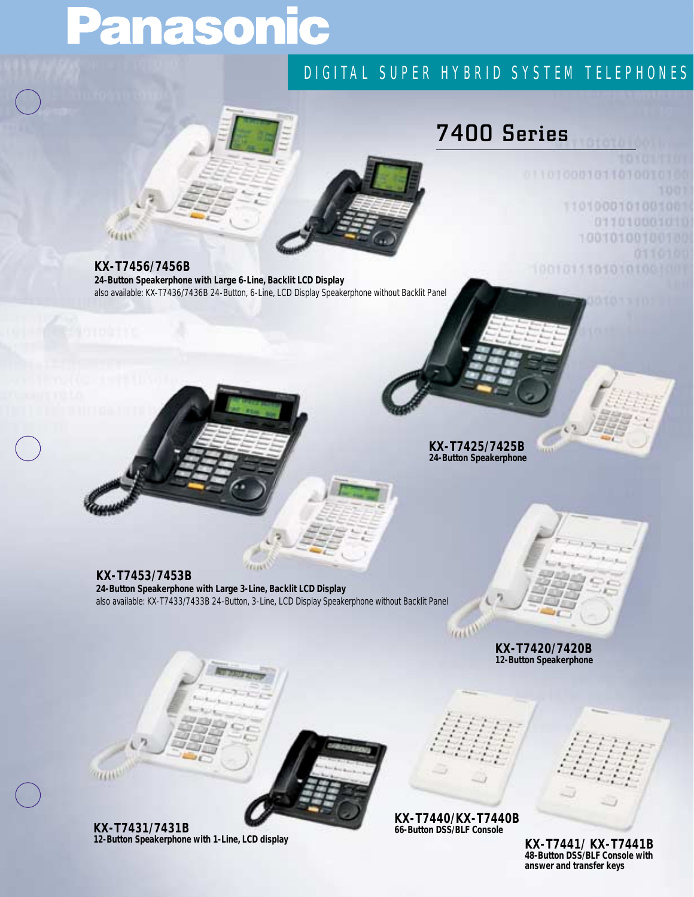# Panasonic

### DIGITAL SUPER HYBRID SYSTEM TELEPHONES

## **7400 Series**

0110100010110100

1001011101010100

1101009101001001 011010001010 10010100100100

**KX-T7456/7456B 24-Button Speakerphone with Large 6-Line, Backlit LCD Display**  *also available: KX-T7436/7436B 24-Button, 6-Line, LCD Display Speakerphone without Backlit Panel* 

> **KX-T7425/7425B 24-Button Speakerphone**

#### **KX-T7453/7453B**

**24-Button Speakerphone with Large 3-Line, Backlit LCD Display** *also available: KX-T7433/7433B 24-Button, 3-Line, LCD Display Speakerphone without Backlit Panel* 

> **KX-T7420/7420B 12-Button Speakerphone**

**KELL** 

**KX-T7440/KX-T7440B 66-Button DSS/BLF Console**



**KX-T7441/ KX-T7441B 48-Button DSS/BLF Console with answer and transfer keys**

**KX-T7431/7431B 12-Button Speakerphone with 1-Line, LCD display**